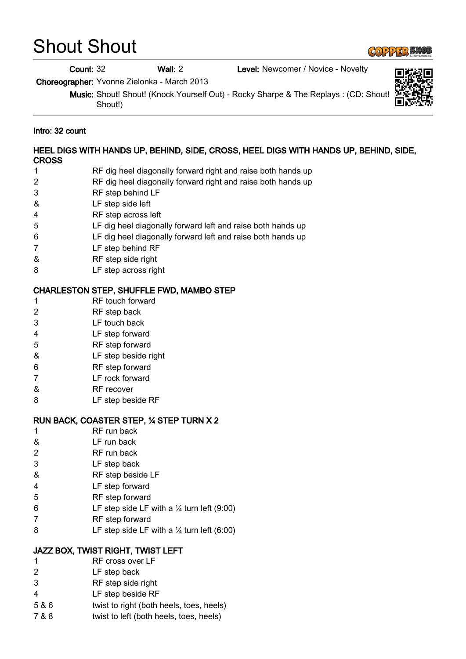# Shout Shout

#### Count: 32 Wall: 2 Level: Newcomer / Novice - Novelty

Choreographer: Yvonne Zielonka - March 2013

Music: Shout! Shout! (Knock Yourself Out) - Rocky Sharpe & The Replays : (CD: Shout! Shout!)

#### Intro: 32 count

### HEEL DIGS WITH HANDS UP, BEHIND, SIDE, CROSS, HEEL DIGS WITH HANDS UP, BEHIND, SIDE, CROSS

- 1 RF dig heel diagonally forward right and raise both hands up
- 2 RF dig heel diagonally forward right and raise both hands up
- 3 RF step behind LF
- & LF step side left
- 4 RF step across left
- 5 LF dig heel diagonally forward left and raise both hands up
- 6 LF dig heel diagonally forward left and raise both hands up
- 7 LF step behind RF
- & RF step side right
- 8 LF step across right

#### CHARLESTON STEP, SHUFFLE FWD, MAMBO STEP

- 1 RF touch forward
- 2 RF step back
- 3 LF touch back
- 4 LF step forward
- 5 RF step forward
- & LF step beside right
- 6 RF step forward
- 7 LF rock forward
- & RF recover
- 8 LF step beside RF

## RUN BACK, COASTER STEP, ¼ STEP TURN X 2

- 1 RF run back
- & LF run back
- 2 RF run back
- 3 LF step back
- & RF step beside LF
- 4 LF step forward
- 5 RF step forward
- 6 LF step side LF with a  $\frac{1}{4}$  turn left (9:00)
- 7 RF step forward
- 8 LF step side LF with a  $\frac{1}{4}$  turn left (6:00)

# JAZZ BOX, TWIST RIGHT, TWIST LEFT

- 1 RF cross over LF
- 2 LF step back
- 3 RF step side right
- 4 LF step beside RF
- 5 & 6 twist to right (both heels, toes, heels)
- 7 & 8 twist to left (both heels, toes, heels)